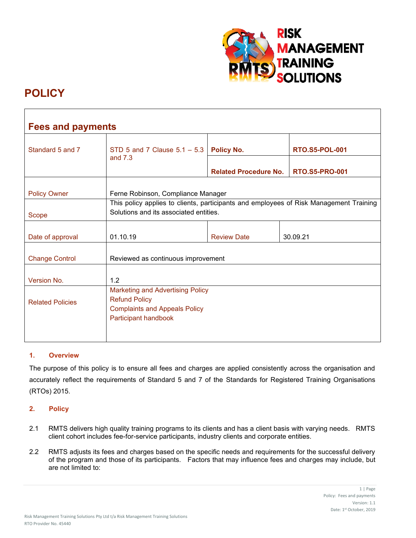

# **POLICY**

| <b>Fees and payments</b> |                                                                                                                                 |                              |                       |  |
|--------------------------|---------------------------------------------------------------------------------------------------------------------------------|------------------------------|-----------------------|--|
| Standard 5 and 7         | STD 5 and 7 Clause $5.1 - 5.3$<br>and $7.3$                                                                                     | Policy No.                   | <b>RTO.S5-POL-001</b> |  |
|                          |                                                                                                                                 | <b>Related Procedure No.</b> | <b>RTO.S5-PRO-001</b> |  |
| <b>Policy Owner</b>      | Ferne Robinson, Compliance Manager<br>This policy applies to clients, participants and employees of Risk Management Training    |                              |                       |  |
| Scope                    | Solutions and its associated entities.                                                                                          |                              |                       |  |
| Date of approval         | 01.10.19                                                                                                                        | <b>Review Date</b>           | 30.09.21              |  |
| <b>Change Control</b>    | Reviewed as continuous improvement                                                                                              |                              |                       |  |
| Version No.              | 1.2                                                                                                                             |                              |                       |  |
| <b>Related Policies</b>  | <b>Marketing and Advertising Policy</b><br><b>Refund Policy</b><br><b>Complaints and Appeals Policy</b><br>Participant handbook |                              |                       |  |

# **1. Overview**

The purpose of this policy is to ensure all fees and charges are applied consistently across the organisation and accurately reflect the requirements of Standard 5 and 7 of the Standards for Registered Training Organisations (RTOs) 2015.

# **2. Policy**

- 2.1 RMTS delivers high quality training programs to its clients and has a client basis with varying needs. RMTS client cohort includes fee-for-service participants, industry clients and corporate entities.
- 2.2 RMTS adjusts its fees and charges based on the specific needs and requirements for the successful delivery of the program and those of its participants. Factors that may influence fees and charges may include, but are not limited to: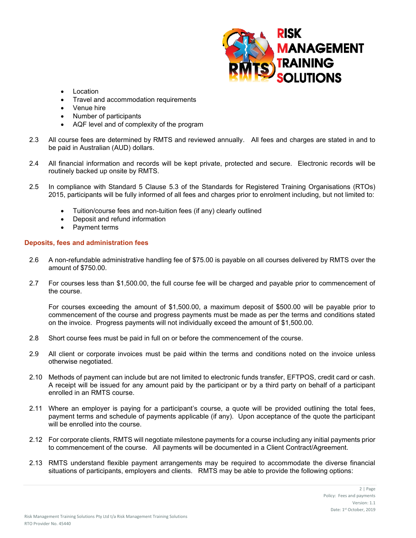

- Location
- Travel and accommodation requirements
- Venue hire
- Number of participants
- AQF level and of complexity of the program
- 2.3 All course fees are determined by RMTS and reviewed annually. All fees and charges are stated in and to be paid in Australian (AUD) dollars.
- 2.4 All financial information and records will be kept private, protected and secure. Electronic records will be routinely backed up onsite by RMTS.
- 2.5 In compliance with Standard 5 Clause 5.3 of the Standards for Registered Training Organisations (RTOs) 2015, participants will be fully informed of all fees and charges prior to enrolment including, but not limited to:
	- Tuition/course fees and non-tuition fees (if any) clearly outlined
	- Deposit and refund information
	- Payment terms

# **Deposits, fees and administration fees**

- 2.6 A non-refundable administrative handling fee of \$75.00 is payable on all courses delivered by RMTS over the amount of \$750.00.
- 2.7 For courses less than \$1,500.00, the full course fee will be charged and payable prior to commencement of the course.

For courses exceeding the amount of \$1,500.00, a maximum deposit of \$500.00 will be payable prior to commencement of the course and progress payments must be made as per the terms and conditions stated on the invoice. Progress payments will not individually exceed the amount of \$1,500.00.

- 2.8 Short course fees must be paid in full on or before the commencement of the course.
- 2.9 All client or corporate invoices must be paid within the terms and conditions noted on the invoice unless otherwise negotiated.
- 2.10 Methods of payment can include but are not limited to electronic funds transfer, EFTPOS, credit card or cash. A receipt will be issued for any amount paid by the participant or by a third party on behalf of a participant enrolled in an RMTS course.
- 2.11 Where an employer is paying for a participant's course, a quote will be provided outlining the total fees, payment terms and schedule of payments applicable (if any). Upon acceptance of the quote the participant will be enrolled into the course.
- 2.12 For corporate clients, RMTS will negotiate milestone payments for a course including any initial payments prior to commencement of the course. All payments will be documented in a Client Contract/Agreement.
- 2.13 RMTS understand flexible payment arrangements may be required to accommodate the diverse financial situations of participants, employers and clients. RMTS may be able to provide the following options: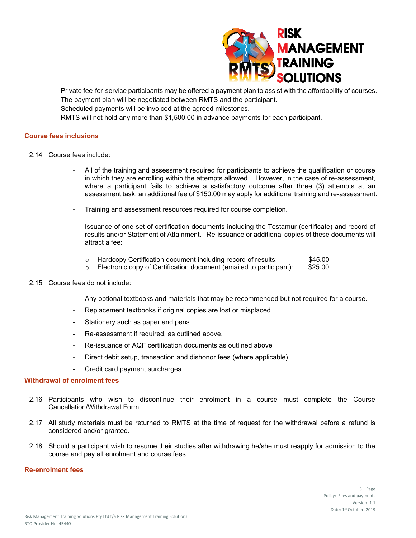

- Private fee-for-service participants may be offered a payment plan to assist with the affordability of courses.
- The payment plan will be negotiated between RMTS and the participant.
- Scheduled payments will be invoiced at the agreed milestones.
- RMTS will not hold any more than \$1,500.00 in advance payments for each participant.

#### **Course fees inclusions**

- 2.14 Course fees include:
	- All of the training and assessment required for participants to achieve the qualification or course in which they are enrolling within the attempts allowed. However, in the case of re-assessment, where a participant fails to achieve a satisfactory outcome after three (3) attempts at an assessment task, an additional fee of \$150.00 may apply for additional training and re-assessment.
	- Training and assessment resources required for course completion.
	- Issuance of one set of certification documents including the Testamur (certificate) and record of results and/or Statement of Attainment. Re-issuance or additional copies of these documents will attract a fee:

|  | Hardcopy Certification document including record of results: | \$45.00 |
|--|--------------------------------------------------------------|---------|
|--|--------------------------------------------------------------|---------|

 $\circ$  Electronic copy of Certification document (emailed to participant): \$25.00

# 2.15 Course fees do not include:

- Any optional textbooks and materials that may be recommended but not required for a course.
- Replacement textbooks if original copies are lost or misplaced.
- Stationery such as paper and pens.
- Re-assessment if required, as outlined above.
- Re-issuance of AQF certification documents as outlined above
- Direct debit setup, transaction and dishonor fees (where applicable).
- Credit card payment surcharges.

# **Withdrawal of enrolment fees**

- 2.16 Participants who wish to discontinue their enrolment in a course must complete the Course Cancellation/Withdrawal Form.
- 2.17 All study materials must be returned to RMTS at the time of request for the withdrawal before a refund is considered and/or granted.
- 2.18 Should a participant wish to resume their studies after withdrawing he/she must reapply for admission to the course and pay all enrolment and course fees.

# **Re-enrolment fees**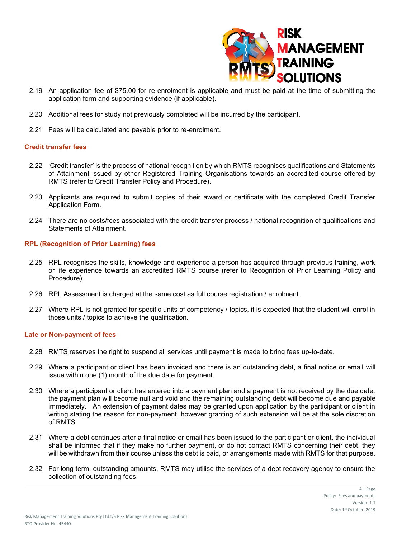

- 2.19 An application fee of \$75.00 for re-enrolment is applicable and must be paid at the time of submitting the application form and supporting evidence (if applicable).
- 2.20 Additional fees for study not previously completed will be incurred by the participant.
- 2.21 Fees will be calculated and payable prior to re-enrolment.

#### **Credit transfer fees**

- 2.22 'Credit transfer' is the process of national recognition by which RMTS recognises qualifications and Statements of Attainment issued by other Registered Training Organisations towards an accredited course offered by RMTS (refer to Credit Transfer Policy and Procedure).
- 2.23 Applicants are required to submit copies of their award or certificate with the completed Credit Transfer Application Form.
- 2.24 There are no costs/fees associated with the credit transfer process / national recognition of qualifications and Statements of Attainment.

# **RPL (Recognition of Prior Learning) fees**

- 2.25 RPL recognises the skills, knowledge and experience a person has acquired through previous training, work or life experience towards an accredited RMTS course (refer to Recognition of Prior Learning Policy and Procedure).
- 2.26 RPL Assessment is charged at the same cost as full course registration / enrolment.
- 2.27 Where RPL is not granted for specific units of competency / topics, it is expected that the student will enrol in those units / topics to achieve the qualification.

#### **Late or Non-payment of fees**

- 2.28 RMTS reserves the right to suspend all services until payment is made to bring fees up-to-date.
- 2.29 Where a participant or client has been invoiced and there is an outstanding debt, a final notice or email will issue within one (1) month of the due date for payment.
- 2.30 Where a participant or client has entered into a payment plan and a payment is not received by the due date, the payment plan will become null and void and the remaining outstanding debt will become due and payable immediately. An extension of payment dates may be granted upon application by the participant or client in writing stating the reason for non-payment, however granting of such extension will be at the sole discretion of RMTS.
- 2.31 Where a debt continues after a final notice or email has been issued to the participant or client, the individual shall be informed that if they make no further payment, or do not contact RMTS concerning their debt, they will be withdrawn from their course unless the debt is paid, or arrangements made with RMTS for that purpose.
- 2.32 For long term, outstanding amounts, RMTS may utilise the services of a debt recovery agency to ensure the collection of outstanding fees.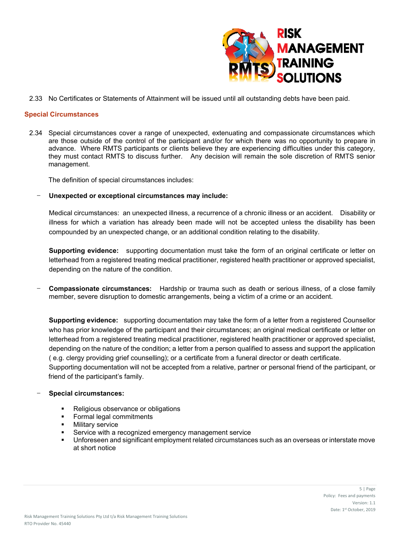

2.33 No Certificates or Statements of Attainment will be issued until all outstanding debts have been paid.

### **Special Circumstances**

2.34 Special circumstances cover a range of unexpected, extenuating and compassionate circumstances which are those outside of the control of the participant and/or for which there was no opportunity to prepare in advance. Where RMTS participants or clients believe they are experiencing difficulties under this category, they must contact RMTS to discuss further. Any decision will remain the sole discretion of RMTS senior management.

The definition of special circumstances includes:

- **Unexpected or exceptional circumstances may include:**

Medical circumstances: an unexpected illness, a recurrence of a chronic illness or an accident. Disability or illness for which a variation has already been made will not be accepted unless the disability has been compounded by an unexpected change, or an additional condition relating to the disability.

**Supporting evidence:** supporting documentation must take the form of an original certificate or letter on letterhead from a registered treating medical practitioner, registered health practitioner or approved specialist, depending on the nature of the condition.

- **Compassionate circumstances:** Hardship or trauma such as death or serious illness, of a close family member, severe disruption to domestic arrangements, being a victim of a crime or an accident.

**Supporting evidence:** supporting documentation may take the form of a letter from a registered Counsellor who has prior knowledge of the participant and their circumstances; an original medical certificate or letter on letterhead from a registered treating medical practitioner, registered health practitioner or approved specialist, depending on the nature of the condition; a letter from a person qualified to assess and support the application ( e.g. clergy providing grief counselling); or a certificate from a funeral director or death certificate. Supporting documentation will not be accepted from a relative, partner or personal friend of the participant, or

friend of the participant's family.

- **Special circumstances:** 
	- Religious observance or obligations
	- Formal legal commitments
	- Military service
	- Service with a recognized emergency management service
	- Unforeseen and significant employment related circumstances such as an overseas or interstate move at short notice